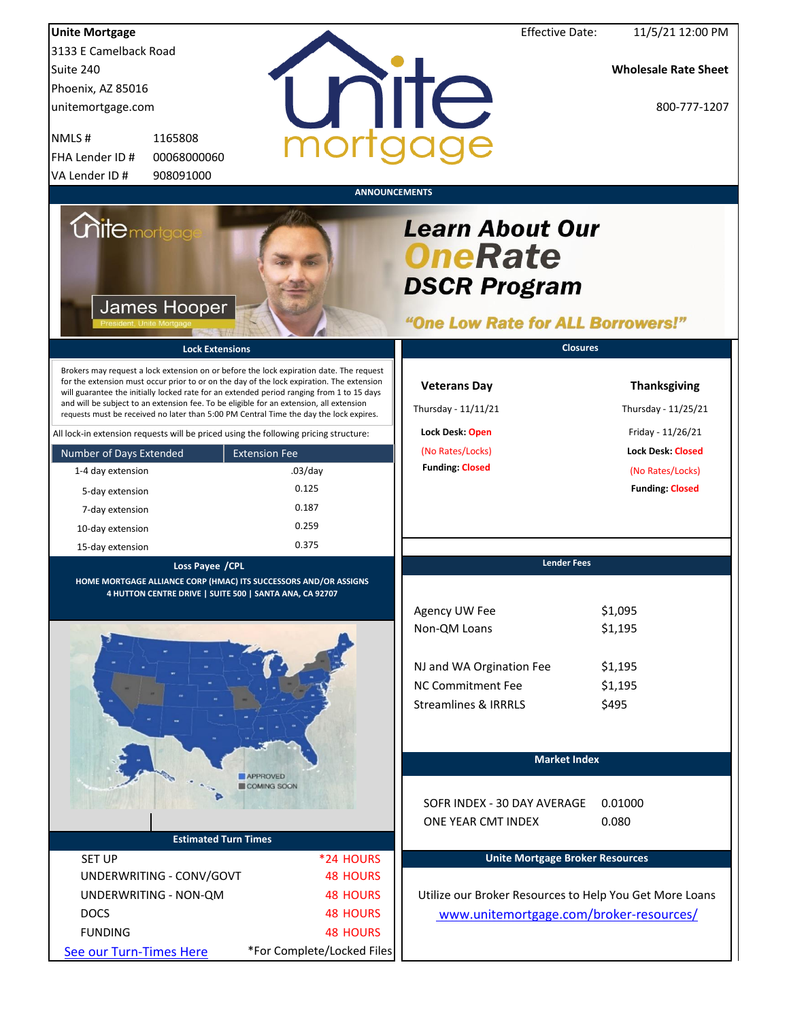| <b>Unite Mortgage</b>                                                                                                                                                                |                                | <b>Effective Date:</b>                                          | 11/5/21 12:00 PM            |
|--------------------------------------------------------------------------------------------------------------------------------------------------------------------------------------|--------------------------------|-----------------------------------------------------------------|-----------------------------|
| 3133 E Camelback Road                                                                                                                                                                |                                |                                                                 |                             |
| Suite 240                                                                                                                                                                            |                                |                                                                 | <b>Wholesale Rate Sheet</b> |
| Phoenix, AZ 85016                                                                                                                                                                    |                                |                                                                 |                             |
|                                                                                                                                                                                      |                                | nite                                                            | 800-777-1207                |
| unitemortgage.com                                                                                                                                                                    |                                |                                                                 |                             |
| NMLS#<br>1165808                                                                                                                                                                     |                                |                                                                 |                             |
| FHA Lender ID #<br>00068000060                                                                                                                                                       |                                |                                                                 |                             |
| 908091000<br>VA Lender ID#                                                                                                                                                           |                                |                                                                 |                             |
| <i><b>Unite</b> mortgage</i><br>James Hooper                                                                                                                                         | <b>ANNOUNCEMENTS</b>           | <b>Learn About Our</b><br><b>OneRate</b><br><b>DSCR Program</b> |                             |
|                                                                                                                                                                                      |                                | "One Low Rate for ALL Borrowers!"                               |                             |
| <b>Lock Extensions</b>                                                                                                                                                               |                                | <b>Closures</b>                                                 |                             |
| Brokers may request a lock extension on or before the lock expiration date. The request                                                                                              |                                |                                                                 |                             |
| for the extension must occur prior to or on the day of the lock expiration. The extension                                                                                            |                                | <b>Veterans Day</b>                                             | <b>Thanksgiving</b>         |
| will guarantee the initially locked rate for an extended period ranging from 1 to 15 days<br>and will be subject to an extension fee. To be eligible for an extension, all extension |                                | Thursday - 11/11/21                                             | Thursday - 11/25/21         |
| requests must be received no later than 5:00 PM Central Time the day the lock expires.                                                                                               |                                |                                                                 |                             |
| All lock-in extension requests will be priced using the following pricing structure:                                                                                                 |                                | Lock Desk: Open                                                 | Friday - 11/26/21           |
| Number of Days Extended                                                                                                                                                              | <b>Extension Fee</b>           | (No Rates/Locks)                                                | <b>Lock Desk: Closed</b>    |
| 1-4 day extension                                                                                                                                                                    | $.03$ /day                     | <b>Funding: Closed</b>                                          | (No Rates/Locks)            |
| 5-day extension                                                                                                                                                                      | 0.125                          |                                                                 | <b>Funding: Closed</b>      |
| 7-day extension                                                                                                                                                                      | 0.187                          |                                                                 |                             |
| 10-day extension                                                                                                                                                                     | 0.259                          |                                                                 |                             |
| 15-day extension                                                                                                                                                                     | 0.375                          |                                                                 |                             |
| Loss Payee /CPL                                                                                                                                                                      |                                | <b>Lender Fees</b>                                              |                             |
| HOME MORTGAGE ALLIANCE CORP (HMAC) ITS SUCCESSORS AND/OR ASSIGNS<br>4 HUTTON CENTRE DRIVE   SUITE 500   SANTA ANA, CA 92707                                                          |                                |                                                                 |                             |
|                                                                                                                                                                                      |                                | Agency UW Fee                                                   | \$1,095                     |
|                                                                                                                                                                                      |                                | Non-QM Loans                                                    | \$1,195                     |
|                                                                                                                                                                                      |                                |                                                                 |                             |
|                                                                                                                                                                                      |                                | NJ and WA Orgination Fee                                        | \$1,195                     |
|                                                                                                                                                                                      |                                | <b>NC Commitment Fee</b>                                        | \$1,195                     |
|                                                                                                                                                                                      |                                | <b>Streamlines &amp; IRRRLS</b>                                 | \$495                       |
|                                                                                                                                                                                      |                                |                                                                 |                             |
|                                                                                                                                                                                      |                                |                                                                 |                             |
|                                                                                                                                                                                      |                                | <b>Market Index</b>                                             |                             |
|                                                                                                                                                                                      | <b>APPROVED</b><br>COMING SOON |                                                                 |                             |
|                                                                                                                                                                                      |                                | SOFR INDEX - 30 DAY AVERAGE                                     | 0.01000                     |
|                                                                                                                                                                                      |                                | ONE YEAR CMT INDEX                                              | 0.080                       |
| <b>Estimated Turn Times</b>                                                                                                                                                          |                                |                                                                 |                             |
| <b>SET UP</b>                                                                                                                                                                        | *24 HOURS                      | <b>Unite Mortgage Broker Resources</b>                          |                             |
| UNDERWRITING - CONV/GOVT                                                                                                                                                             | <b>48 HOURS</b>                |                                                                 |                             |
| UNDERWRITING - NON-QM                                                                                                                                                                | <b>48 HOURS</b>                | Utilize our Broker Resources to Help You Get More Loans         |                             |
| <b>DOCS</b>                                                                                                                                                                          | <b>48 HOURS</b>                | www.unitemortgage.com/broker-resources/                         |                             |
| <b>FUNDING</b>                                                                                                                                                                       | <b>48 HOURS</b>                |                                                                 |                             |
| See our Turn-Times Here                                                                                                                                                              | *For Complete/Locked Files     |                                                                 |                             |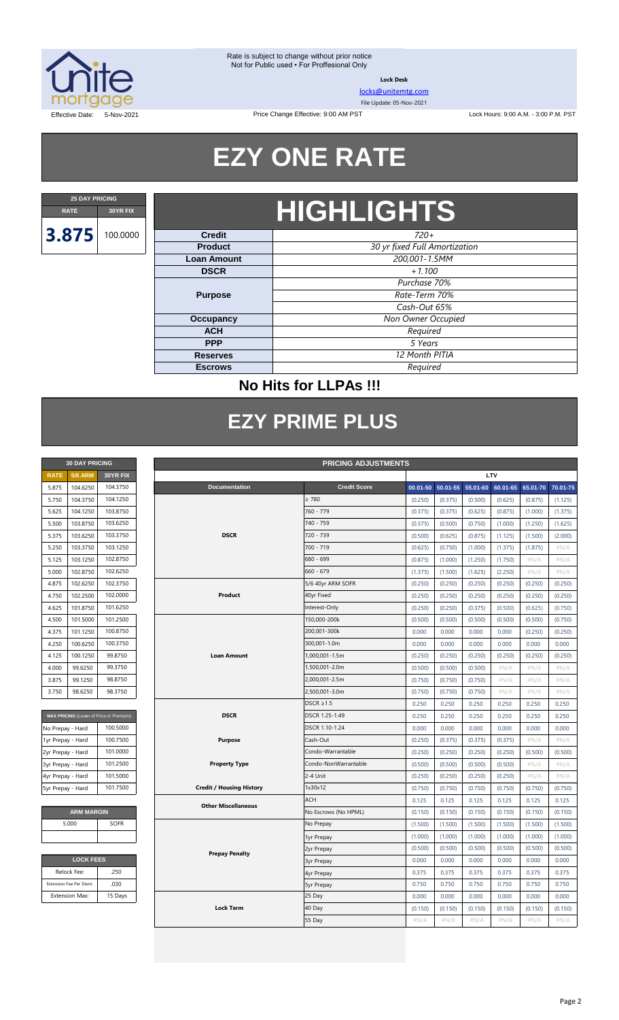

**Lock Desk**

[locks@unitemtg.com](mailto:locks@unitemtg.com)

File Update: 05-Nov-2021

Lock Hours: 9:00 A.M. - 3:00 P.M. PST

Effective Date: 5-Nov-2021

# **EZY ONE RATE**

Price Change Effective: 9:00 AM PST

# **RATE 30YR FIX HIGHLIGHTS**

| <b>Credit</b>                       | $720+$                        |  |
|-------------------------------------|-------------------------------|--|
| <b>Product</b>                      | 30 yr fixed Full Amortization |  |
| 200,001-1.5MM<br><b>Loan Amount</b> |                               |  |
| $+1.100$<br><b>DSCR</b>             |                               |  |
|                                     | Purchase 70%                  |  |
| <b>Purpose</b>                      | Rate-Term 70%                 |  |
|                                     | Cash-Out 65%                  |  |
| Occupancy                           | Non Owner Occupied            |  |
| <b>ACH</b>                          | Required                      |  |
| <b>PPP</b>                          | 5 Years                       |  |
| <b>Reserves</b>                     | 12 Month PITIA                |  |
| <b>Escrows</b>                      | Required                      |  |

### **No Hits for LLPAs !!!**

## **EZY PRIME PLUS**

| <b>30 DAY PRICING</b> |                |          |  |  |
|-----------------------|----------------|----------|--|--|
| <b>RATE</b>           | <b>5/6 ARM</b> | 30YR FIX |  |  |
| 5.875                 | 104.6250       | 104.3750 |  |  |
| 5.750                 | 104.3750       | 104.1250 |  |  |
| 5.625                 | 104.1250       | 103.8750 |  |  |
| 5.500                 | 103.8750       | 103.6250 |  |  |
| 5.375                 | 103.6250       | 103.3750 |  |  |
| 5.250                 | 103.3750       | 103.1250 |  |  |
| 5.125                 | 103.1250       | 102.8750 |  |  |
| 5.000                 | 102.8750       | 102.6250 |  |  |
| 4.875                 | 102.6250       | 102.3750 |  |  |
| 4.750                 | 102.2500       | 102,0000 |  |  |
| 4.625                 | 101.8750       | 101.6250 |  |  |
| 4.500                 | 101.5000       | 101.2500 |  |  |
| 4.375                 | 101.1250       | 100.8750 |  |  |
| 4.250                 | 100.6250       | 100.3750 |  |  |
| 4.125                 | 100.1250       | 99.8750  |  |  |
| 4.000                 | 99.6250        | 99.3750  |  |  |
| 3.875                 | 99.1250        | 98.8750  |  |  |
| 3.750                 | 98.6250        | 98.3750  |  |  |

| MAX PRICING (Lower of Price or Premium) |          |  |
|-----------------------------------------|----------|--|
| No Prepay - Hard                        | 100.5000 |  |
| 1yr Prepay - Hard                       | 100.7500 |  |
| 2yr Prepay - Hard                       | 101.0000 |  |
| 3yr Prepay - Hard                       | 101.2500 |  |
| 4yr Prepay - Hard                       | 101.5000 |  |
| 5yr Prepay - Hard                       | 101.7500 |  |

| <b>ARM MARGIN</b> |             |  |
|-------------------|-------------|--|
| 5.000             | <b>SOFR</b> |  |
|                   |             |  |

| <b>LOCK FEES</b>        |         |  |
|-------------------------|---------|--|
| Relock Fee:             | .250    |  |
| Extension Fee Per Diem: | .030    |  |
| <b>Extension Max:</b>   | 15 Days |  |

| <b>30 DAY PRICING</b><br><b>PRICING ADJUSTMENTS</b> |                         |                                         |                                 |                      |         |                   |          |          |          |          |
|-----------------------------------------------------|-------------------------|-----------------------------------------|---------------------------------|----------------------|---------|-------------------|----------|----------|----------|----------|
| <b>RATE</b>                                         | <b>5/6 ARM</b>          | 30YR FIX                                | LTV                             |                      |         |                   |          |          |          |          |
| 5.875                                               | 104.6250                | 104.3750                                | Documentation                   | <b>Credit Score</b>  |         | 00.01-50 50.01-55 | 55.01-60 | 60.01-65 | 65.01-70 | 70.01-75 |
| 5.750                                               | 104.3750                | 104.1250                                |                                 | $\geq 780$           | (0.250) | (0.375)           | (0.500)  | (0.625)  | (0.875)  | (1.125)  |
| 5.625                                               | 104.1250                | 103.8750                                |                                 | 760 - 779            | (0.375) | (0.375)           | (0.625)  | (0.875)  | (1.000)  | (1.375)  |
| 5.500                                               | 103.8750                | 103.6250                                |                                 | 740 - 759            | (0.375) | (0.500)           | (0.750)  | (1.000)  | (1.250)  | (1.625)  |
| 5.375                                               | 103.6250                | 103.3750                                | <b>DSCR</b>                     | 720 - 739            | (0.500) | (0.625)           | (0.875)  | (1.125)  | (1.500)  | (2.000)  |
| 5.250                                               | 103.3750                | 103.1250                                |                                 | $700 - 719$          | (0.625) | (0.750)           | (1.000)  | (1.375)  | (1.875)  | $\#N/A$  |
| 5.125                                               | 103.1250                | 102.8750                                |                                 | 680 - 699            | (0.875) | (1.000)           | (1.250)  | (1.750)  | #N/A     | $\#N/A$  |
| 5.000                                               | 102.8750                | 102.6250                                |                                 | $660 - 679$          | (1.375) | (1.500)           | (1.625)  | (2.250)  | $\#N/A$  | $\#N/A$  |
| 4.875                                               | 102.6250                | 102.3750                                |                                 | 5/6 40yr ARM SOFR    | (0.250) | (0.250)           | (0.250)  | (0.250)  | (0.250)  | (0.250)  |
| 4.750                                               | 102.2500                | 102.0000                                | Product                         | 40yr Fixed           | (0.250) | (0.250)           | (0.250)  | (0.250)  | (0.250)  | (0.250)  |
| 4.625                                               | 101.8750                | 101.6250                                |                                 | Interest-Only        | (0.250) | (0.250)           | (0.375)  | (0.500)  | (0.625)  | (0.750)  |
| 4.500                                               | 101.5000                | 101.2500                                |                                 | 150,000-200k         | (0.500) | (0.500)           | (0.500)  | (0.500)  | (0.500)  | (0.750)  |
| 4.375                                               | 101.1250                | 100.8750                                |                                 | 200,001-300k         | 0.000   | 0.000             | 0.000    | 0.000    | (0.250)  | (0.250)  |
| 4.250                                               | 100.6250                | 100.3750                                |                                 | 300,001-1.0m         | 0.000   | 0.000             | 0.000    | 0.000    | 0.000    | 0.000    |
| 4.125                                               | 100.1250                | 99.8750                                 | <b>Loan Amount</b>              | 1,000,001-1.5m       | (0.250) | (0.250)           | (0.250)  | (0.250)  | (0.250)  | (0.250)  |
| 4.000                                               | 99.6250                 | 99.3750                                 |                                 | 1,500,001-2.0m       | (0.500) | (0.500)           | (0.500)  | $\#N/A$  | $\#N/A$  | $\#N/A$  |
| 3.875                                               | 99.1250                 | 98.8750                                 |                                 | 2,000,001-2.5m       | (0.750) | (0.750)           | (0.750)  | $\#N/A$  | $\#N/A$  | $\#N/A$  |
| 3.750                                               | 98.6250                 | 98.3750                                 |                                 | 2,500,001-3.0m       | (0.750) | (0.750)           | (0.750)  | $\#N/A$  | $\#N/A$  | #N/A     |
|                                                     |                         |                                         |                                 | $DSCR \geq 1.5$      | 0.250   | 0.250             | 0.250    | 0.250    | 0.250    | 0.250    |
|                                                     |                         | MAX PRICING (Lower of Price or Premium) | <b>DSCR</b>                     | DSCR 1.25-1.49       | 0.250   | 0.250             | 0.250    | 0.250    | 0.250    | 0.250    |
| No Prepay - Hard                                    |                         | 100.5000                                |                                 | DSCR 1.10-1.24       | 0.000   | 0.000             | 0.000    | 0.000    | 0.000    | 0.000    |
| 1yr Prepay - Hard                                   |                         | 100.7500                                | <b>Purpose</b>                  | Cash-Out             | (0.250) | (0.375)           | (0.375)  | (0.375)  | $\#N/A$  | $\#N/A$  |
| 2yr Prepay - Hard                                   |                         | 101.0000                                |                                 | Condo-Warrantable    | (0.250) | (0.250)           | (0.250)  | (0.250)  | (0.500)  | (0.500)  |
| 3yr Prepay - Hard                                   |                         | 101.2500                                | <b>Property Type</b>            | Condo-NonWarrantable | (0.500) | (0.500)           | (0.500)  | (0.500)  | $\#N/A$  | #N/A     |
| 4yr Prepay - Hard                                   |                         | 101.5000                                |                                 | 2-4 Unit             | (0.250) | (0.250)           | (0.250)  | (0.250)  | #N/A     | #N/A     |
| 5yr Prepay - Hard                                   |                         | 101.7500                                | <b>Credit / Housing History</b> | 1x30x12              | (0.750) | (0.750)           | (0.750)  | (0.750)  | (0.750)  | (0.750)  |
|                                                     |                         |                                         | <b>Other Miscellaneous</b>      | <b>ACH</b>           | 0.125   | 0.125             | 0.125    | 0.125    | 0.125    | 0.125    |
|                                                     | <b>ARM MARGIN</b>       |                                         |                                 | No Escrows (No HPML) | (0.150) | (0.150)           | (0.150)  | (0.150)  | (0.150)  | (0.150)  |
|                                                     | 5.000                   | SOFR                                    |                                 | No Prepay            | (1.500) | (1.500)           | (1.500)  | (1.500)  | (1.500)  | (1.500)  |
|                                                     |                         |                                         |                                 | 1yr Prepay           | (1.000) | (1.000)           | (1.000)  | (1.000)  | (1.000)  | (1.000)  |
|                                                     |                         |                                         | <b>Prepay Penalty</b>           | 2yr Prepay           | (0.500) | (0.500)           | (0.500)  | (0.500)  | (0.500)  | (0.500)  |
|                                                     | <b>LOCK FEES</b>        |                                         |                                 | <b>3yr Prepay</b>    | 0.000   | 0.000             | 0.000    | 0.000    | 0.000    | 0.000    |
|                                                     | Relock Fee:             | .250                                    |                                 | 4yr Prepay           | 0.375   | 0.375             | 0.375    | 0.375    | 0.375    | 0.375    |
|                                                     | Extension Fee Per Diem: | .030                                    |                                 | <b>5yr Prepay</b>    | 0.750   | 0.750             | 0.750    | 0.750    | 0.750    | 0.750    |
|                                                     | <b>Extension Max:</b>   | 15 Days                                 |                                 | 25 Day               | 0.000   | 0.000             | 0.000    | 0.000    | 0.000    | 0.000    |
|                                                     |                         |                                         | <b>Lock Term</b>                | 40 Day               | (0.150) | (0.150)           | (0.150)  | (0.150)  | (0.150)  | (0.150)  |
|                                                     |                         |                                         |                                 | 55 Day               | $\#N/A$ | $\#N/A$           | $\#N/A$  | $\#N/A$  | $\#N/A$  | $\#N/A$  |
|                                                     |                         |                                         |                                 |                      |         |                   |          |          |          |          |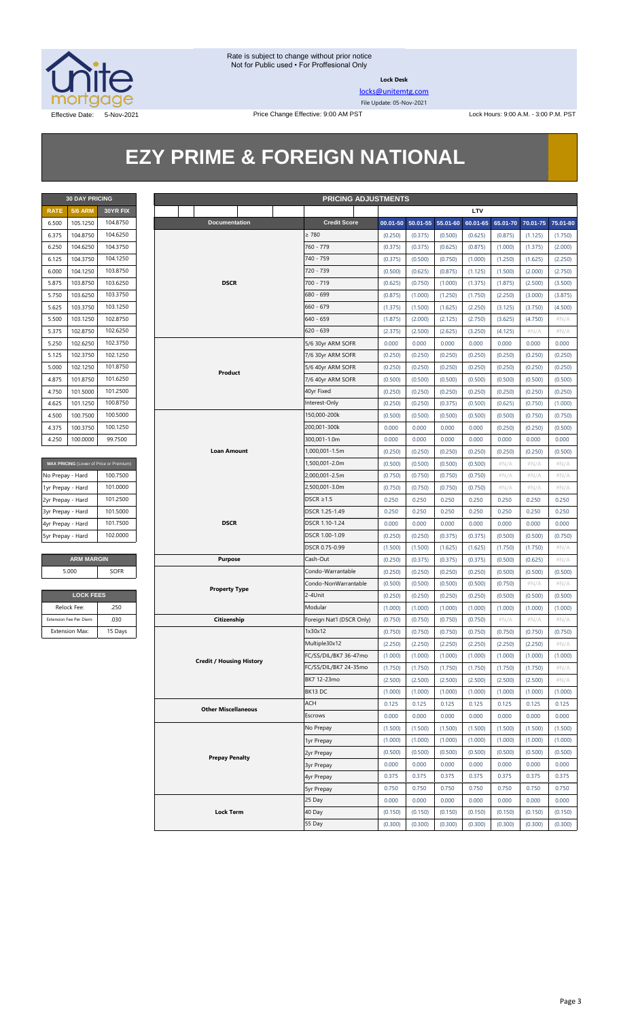

**Lock Desk**

[locks@unitemtg.com](mailto:locks@unitemtg.com)

File Update: 05-Nov-2021

## **EZY PRIME & FOREIGN NATIONAL**

| <b>30 DAY PRICING</b> |                      |          |  |  |  |
|-----------------------|----------------------|----------|--|--|--|
| <b>RATE</b>           | <b>5/6 ARM</b>       | 30YR FIX |  |  |  |
| 6.500                 | 105.1250             | 104.8750 |  |  |  |
| 6.375                 | 104.8750             | 104.6250 |  |  |  |
| 6.250                 | 104.6250             | 104.3750 |  |  |  |
| 6.125                 | 104.3750             | 104.1250 |  |  |  |
| 6.000                 | 104.1250             | 103.8750 |  |  |  |
| 5.875                 | 103.8750             | 103.6250 |  |  |  |
| 5.750                 | 103.6250             | 103.3750 |  |  |  |
| 5.625                 | 103.3750             | 103.1250 |  |  |  |
| 5.500                 | 103.1250             | 102.8750 |  |  |  |
| 5.375                 | 102.8750             | 102.6250 |  |  |  |
| 5.250                 | 102.6250             | 102.3750 |  |  |  |
| 5.125                 | 102.3750             | 102.1250 |  |  |  |
| 5.000                 | 101.8750<br>102.1250 |          |  |  |  |
| 4.875                 | 101.8750             | 101.6250 |  |  |  |
| 4.750                 | 101.5000             | 101.2500 |  |  |  |
| 4.625                 | 101.1250             | 100.8750 |  |  |  |
| 4.500                 | 100.7500             | 100.5000 |  |  |  |
| 4.375                 | 100.3750             | 100.1250 |  |  |  |
| 4.250                 | 100.0000             | 99.7500  |  |  |  |

| MAX PRICING (Lower of Price or Premium) |          |  |
|-----------------------------------------|----------|--|
| No Prepay - Hard                        | 100.7500 |  |
| 1yr Prepay - Hard                       | 101.0000 |  |
| 2yr Prepay - Hard                       | 101.2500 |  |
| 3yr Prepay - Hard                       | 101.5000 |  |
| 4yr Prepay - Hard                       | 101.7500 |  |
| 5yr Prepay - Hard                       | 102,0000 |  |

| <b>ARM MARGIN</b> |      |  |
|-------------------|------|--|
| 5.000             | SOFR |  |

| <b>LOCK FEES</b>        |         |  |
|-------------------------|---------|--|
| Relock Fee:             | 250     |  |
| Extension Fee Per Diem: | .030    |  |
| <b>Extension Max:</b>   | 15 Days |  |

|                   | <b>30 DAY PRICING</b>                                                   |             |                                 | <b>PRICING ADJUSTMENTS</b> |         |                   |          |          |          |          |          |
|-------------------|-------------------------------------------------------------------------|-------------|---------------------------------|----------------------------|---------|-------------------|----------|----------|----------|----------|----------|
| <b>RATE</b>       | <b>5/6 ARM</b>                                                          | 30YR FIX    |                                 |                            |         |                   |          | LTV      |          |          |          |
| 6.500             | 105.1250                                                                | 104.8750    | Documentation                   | <b>Credit Score</b>        |         | 00.01-50 50.01-55 | 55.01-60 | 60.01-65 | 65.01-70 | 70.01-75 | 75.01-80 |
| 6.375             | 104.8750                                                                | 104.6250    |                                 | $\geq 780$                 | (0.250) | (0.375)           | (0.500)  | (0.625)  | (0.875)  | (1.125)  | (1.750)  |
| 6.250             | 104.6250                                                                | 104.3750    |                                 | 760 - 779                  | (0.375) | (0.375)           | (0.625)  | (0.875)  | (1.000)  | (1.375)  | (2.000)  |
| 6.125             | 104.3750                                                                | 104.1250    |                                 | 740 - 759                  | (0.375) | (0.500)           | (0.750)  | (1.000)  | (1.250)  | (1.625)  | (2.250)  |
| 6.000             | 104.1250                                                                | 103.8750    |                                 | 720 - 739                  | (0.500) | (0.625)           | (0.875)  | (1.125)  | (1.500)  | (2.000)  | (2.750)  |
| 5.875             | 103.8750                                                                | 103.6250    | <b>DSCR</b>                     | 700 - 719                  | (0.625) | (0.750)           | (1.000)  | (1.375)  | (1.875)  | (2.500)  | (3.500)  |
| 5.750             | 103.6250                                                                | 103.3750    |                                 | 680 - 699                  | (0.875) | (1.000)           | (1.250)  | (1.750)  | (2.250)  | (3.000)  | (3.875)  |
| 5.625             | 103.3750                                                                | 103.1250    |                                 | $660 - 679$                | (1.375) | (1.500)           | (1.625)  | (2.250)  | (3.125)  | (3.750)  | (4.500)  |
| 5.500             | 103.1250                                                                | 102.8750    |                                 | 640 - 659                  | (1.875) | (2.000)           | (2.125)  | (2.750)  | (3.625)  | (4.750)  | $\#N/A$  |
| 5.375             | 102.8750                                                                | 102.6250    |                                 | 620 - 639                  | (2.375) | (2.500)           | (2.625)  | (3.250)  | (4.125)  | $\#N/A$  | $\#N/A$  |
| 5.250             | 102.6250                                                                | 102.3750    |                                 | 5/6 30yr ARM SOFR          | 0.000   | 0.000             | 0.000    | 0.000    | 0.000    | 0.000    | 0.000    |
| 5.125             | 102.3750                                                                | 102.1250    |                                 | 7/6 30yr ARM SOFR          | (0.250) | (0.250)           | (0.250)  | (0.250)  | (0.250)  | (0.250)  | (0.250)  |
| 5.000             | 102.1250                                                                | 101.8750    | Product                         | 5/6 40yr ARM SOFR          | (0.250) | (0.250)           | (0.250)  | (0.250)  | (0.250)  | (0.250)  | (0.250)  |
| 4.875             | 101.8750                                                                | 101.6250    |                                 | 7/6 40yr ARM SOFR          | (0.500) | (0.500)           | (0.500)  | (0.500)  | (0.500)  | (0.500)  | (0.500)  |
| 4.750             | 101.5000                                                                | 101.2500    |                                 | 40yr Fixed                 | (0.250) | (0.250)           | (0.250)  | (0.250)  | (0.250)  | (0.250)  | (0.250)  |
| 4.625             | 101.1250                                                                | 100.8750    |                                 | Interest-Only              | (0.250) | (0.250)           | (0.375)  | (0.500)  | (0.625)  | (0.750)  | (1.000)  |
| 4.500             | 100.7500                                                                | 100.5000    |                                 | 150,000-200k               | (0.500) | (0.500)           | (0.500)  | (0.500)  | (0.500)  | (0.750)  | (0.750)  |
| 4.375             | 100.3750                                                                | 100.1250    |                                 | 200,001-300k               | 0.000   | 0.000             | 0.000    | 0.000    | (0.250)  | (0.250)  | (0.500)  |
| 4.250             | 100.0000                                                                | 99.7500     |                                 | 300,001-1.0m               | 0.000   | 0.000             | 0.000    | 0.000    | 0.000    | 0.000    | 0.000    |
|                   |                                                                         |             | Loan Amount                     | 1,000,001-1.5m             | (0.250) | (0.250)           | (0.250)  | (0.250)  | (0.250)  | (0.250)  | (0.500)  |
|                   | MAX PRICING (Lower of Price or Premium)<br>100.7500<br>No Prepay - Hard |             |                                 | 1,500,001-2.0m             | (0.500) | (0.500)           | (0.500)  | (0.500)  | $\#N/A$  | $\#N/A$  | #N/A     |
|                   |                                                                         |             |                                 | 2,000,001-2.5m             | (0.750) | (0.750)           | (0.750)  | (0.750)  | $\#N/A$  | $\#N/A$  | $\#N/A$  |
| 1yr Prepay - Hard |                                                                         | 101.0000    |                                 | 2,500,001-3.0m             | (0.750) | (0.750)           | (0.750)  | (0.750)  | $\#N/A$  | $\#N/A$  | $\#N/A$  |
| 2yr Prepay - Hard |                                                                         | 101.2500    |                                 | $DSCR \geq 1.5$            | 0.250   | 0.250             | 0.250    | 0.250    | 0.250    | 0.250    | 0.250    |
| 3yr Prepay - Hard |                                                                         | 101.5000    |                                 | DSCR 1.25-1.49             | 0.250   | 0.250             | 0.250    | 0.250    | 0.250    | 0.250    | 0.250    |
| 4yr Prepay - Hard |                                                                         | 101.7500    | <b>DSCR</b>                     | DSCR 1.10-1.24             | 0.000   | 0.000             | 0.000    | 0.000    | 0.000    | 0.000    | 0.000    |
| 5yr Prepay - Hard |                                                                         | 102.0000    |                                 | DSCR 1.00-1.09             | (0.250) | (0.250)           | (0.375)  | (0.375)  | (0.500)  | (0.500)  | (0.750)  |
|                   |                                                                         |             |                                 | DSCR 0.75-0.99             | (1.500) | (1.500)           | (1.625)  | (1.625)  | (1.750)  | (1.750)  | $\#N/A$  |
|                   | <b>ARM MARGIN</b>                                                       |             | <b>Purpose</b>                  | Cash-Out                   | (0.250) | (0.375)           | (0.375)  | (0.375)  | (0.500)  | (0.625)  | $\#N/A$  |
|                   | 5.000                                                                   | <b>SOFR</b> |                                 | Condo-Warrantable          | (0.250) | (0.250)           | (0.250)  | (0.250)  | (0.500)  | (0.500)  | (0.500)  |
|                   |                                                                         |             | <b>Property Type</b>            | Condo-NonWarrantable       | (0.500) | (0.500)           | (0.500)  | (0.500)  | (0.750)  | $\#N/A$  | $\#N/A$  |
|                   | <b>LOCK FEES</b>                                                        |             |                                 | 2-4Unit                    | (0.250) | (0.250)           | (0.250)  | (0.250)  | (0.500)  | (0.500)  | (0.500)  |
|                   | Relock Fee:                                                             | .250        |                                 | Modular                    | (1.000) | (1.000)           | (1.000)  | (1.000)  | (1.000)  | (1.000)  | (1.000)  |
|                   | Extension Fee Per Diem:                                                 | .030        | Citizenship                     | Foreign Nat'l (DSCR Only)  | (0.750) | (0.750)           | (0.750)  | (0.750)  | $\#N/A$  | $\#N/A$  | $\#N/A$  |
|                   | <b>Extension Max:</b>                                                   | 15 Days     |                                 | 1x30x12                    | (0.750) | (0.750)           | (0.750)  | (0.750)  | (0.750)  | (0.750)  | (0.750)  |
|                   |                                                                         |             |                                 | Multiple30x12              | (2.250) | (2.250)           | (2.250)  | (2.250)  | (2.250)  | (2.250)  | #N/A     |
|                   |                                                                         |             | <b>Credit / Housing History</b> | FC/SS/DIL/BK7 36-47mo      | (1.000) | (1.000)           | (1.000)  | (1.000)  | (1.000)  | (1.000)  | (1.000)  |
|                   |                                                                         |             |                                 | FC/SS/DIL/BK7 24-35mo      | (1.750) | (1.750)           | (1.750)  | (1.750)  | (1.750)  | (1.750)  | $\#N/A$  |
|                   |                                                                         |             |                                 | BK7 12-23mo                | (2.500) | (2.500)           | (2.500)  | (2.500)  | (2.500)  | (2.500)  | # $N/A$  |
|                   |                                                                         |             |                                 | BK13DC                     | (1.000) | (1.000)           | (1.000)  | (1.000)  | (1.000)  | (1.000)  | (1.000)  |
|                   |                                                                         |             | <b>Other Miscellaneous</b>      | ACH                        | 0.125   | 0.125             | 0.125    | 0.125    | 0.125    | 0.125    | 0.125    |
|                   |                                                                         |             |                                 | Escrows                    | 0.000   | 0.000             | 0.000    | 0.000    | 0.000    | 0.000    | 0.000    |
|                   |                                                                         |             |                                 | No Prepay                  | (1.500) | (1.500)           | (1.500)  | (1.500)  | (1.500)  | (1.500)  | (1.500)  |
|                   |                                                                         |             |                                 | 1yr Prepay                 | (1.000) | (1.000)           | (1.000)  | (1.000)  | (1.000)  | (1.000)  | (1.000)  |
|                   |                                                                         |             | <b>Prepay Penalty</b>           | 2yr Prepay                 | (0.500) | (0.500)           | (0.500)  | (0.500)  | (0.500)  | (0.500)  | (0.500)  |
|                   |                                                                         |             |                                 | <b>3yr Prepay</b>          | 0.000   | 0.000             | 0.000    | 0.000    | 0.000    | 0.000    | 0.000    |
|                   |                                                                         |             |                                 | 4yr Prepay                 | 0.375   | 0.375             | 0.375    | 0.375    | 0.375    | 0.375    | 0.375    |
|                   |                                                                         |             |                                 | 5yr Prepay                 | 0.750   | 0.750             | 0.750    | 0.750    | 0.750    | 0.750    | 0.750    |
|                   |                                                                         |             |                                 | 25 Day                     | 0.000   | 0.000             | 0.000    | 0.000    | 0.000    | 0.000    | 0.000    |
|                   |                                                                         |             | <b>Lock Term</b>                | 40 Day                     | (0.150) | (0.150)           | (0.150)  | (0.150)  | (0.150)  | (0.150)  | (0.150)  |
|                   |                                                                         |             |                                 | 55 Day                     | (0.300) | (0.300)           | (0.300)  | (0.300)  | (0.300)  | (0.300)  | (0.300)  |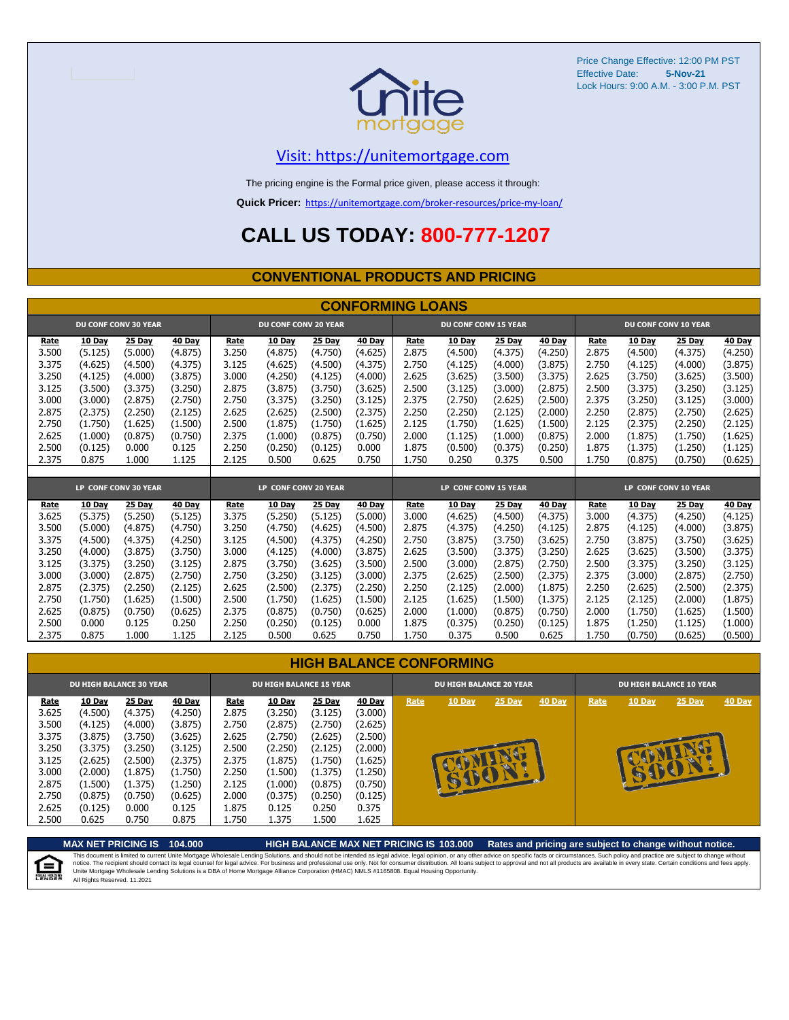

#### [V](https://unitemortgage.com/)isit: https://unitemortgage.com

The pricing engine is the Formal price given, please access it through:

**Quick Pricer:** [https://un](https://unitemortgage.com/broker-resources/price-my-loan/)itemortgage.com/broker-resources/price-my-loan/

### **CALL US TODAY: 800-777-1207**

#### **CONVENTIONAL PRODUCTS AND PRICING**

|                | <b>CONFORMING LOANS</b> |                             |                |                |                             |                  |                |                |                             |                  |                  |                |                    |                      |                    |
|----------------|-------------------------|-----------------------------|----------------|----------------|-----------------------------|------------------|----------------|----------------|-----------------------------|------------------|------------------|----------------|--------------------|----------------------|--------------------|
|                |                         | <b>DU CONF CONV 30 YEAR</b> |                |                | <b>DU CONF CONV 20 YEAR</b> |                  |                |                | <b>DU CONF CONV 15 YEAR</b> |                  |                  |                |                    | DU CONF CONV 10 YEAR |                    |
| Rate           | <b>10 Day</b>           | 25 Day                      | 40 Day         | Rate           | 10 Day                      | <b>25 Day</b>    | 40 Day         | Rate           | 10 Day                      | <b>25 Day</b>    | <b>40 Day</b>    | Rate           | <b>10 Day</b>      | <b>25 Day</b>        | <b>40 Day</b>      |
| 3.500          | (5.125)                 | (5.000)                     | (4.875)        | 3.250          | (4.875)                     | (4.750)          | (4.625)        | 2.875          | (4.500)                     | (4.375)          | (4.250)          | 2.875          | (4.500)            | (4.375)              | (4.250)            |
| 3.375          | (4.625)                 | (4.500)                     | (4.375)        | 3.125          | (4.625)                     | (4.500)          | (4.375)        | 2.750          | (4.125)                     | (4.000)          | (3.875)          | 2.750          | (4.125)            | (4.000)              | (3.875)            |
| 3.250          | (4.125)                 | (4.000)                     | (3.875)        | 3.000          | (4.250)                     | (4.125)          | (4.000)        | 2.625          | (3.625)                     | (3.500)          | (3.375)          | 2.625          | (3.750)            | (3.625)              | (3.500)            |
| 3.125          | (3.500)                 | (3.375)                     | (3.250)        | 2.875          | (3.875)                     | (3.750)          | (3.625)        | 2.500          | (3.125)                     | (3.000)          | (2.875)          | 2.500          | (3.375)            | (3.250)              | (3.125)            |
| 3.000          | (3.000)                 | (2.875)                     | (2.750)        | 2.750          | (3.375)                     | (3.250)          | (3.125)        | 2.375          | (2.750)                     | (2.625)          | (2.500)          | 2.375          | (3.250)            | (3.125)              | (3.000)            |
| 2.875          | (2.375)                 | (2.250)                     | (2.125)        | 2.625          | (2.625)                     | (2.500)          | (2.375)        | 2.250          | (2.250)                     | (2.125)          | (2.000)          | 2.250          | (2.875)            | (2.750)              | (2.625)            |
| 2.750          | (1.750)                 | (1.625)                     | (1.500)        | 2.500          | (1.875)                     | (1.750)          | (1.625)        | 2.125          | (1.750)                     | (1.625)          | (1.500)          | 2.125          | (2.375)            | (2.250)              | (2.125)            |
| 2.625          | (1.000)                 | (0.875)                     | (0.750)        | 2.375          | (1.000)                     | (0.875)          | (0.750)        | 2.000          | (1.125)                     | (1.000)          | (0.875)          | 2.000          | (1.875)            | (1.750)              | (1.625)            |
| 2.500          | (0.125)                 | 0.000                       | 0.125          | 2.250          | (0.250)                     | (0.125)          | 0.000          | 1.875          | (0.500)                     | (0.375)          | (0.250)          | 1.875          | (1.375)            | (1.250)              | (1.125)            |
| 2.375          | 0.875                   | 1.000                       | 1.125          | 2.125          | 0.500                       | 0.625            | 0.750          | 1.750          | 0.250                       | 0.375            | 0.500            | 1.750          | (0.875)            | (0.750)              | (0.625)            |
|                |                         |                             |                |                |                             |                  |                |                |                             |                  |                  |                |                    |                      |                    |
|                |                         |                             |                |                |                             |                  |                |                |                             |                  |                  |                |                    |                      |                    |
|                |                         | LP CONF CONV 30 YEAR        |                |                | LP CONF CONV 20 YEAR        |                  |                |                | LP CONF CONV 15 YEAR        |                  |                  |                |                    | LP CONF CONV 10 YEAR |                    |
| Rate           | 10 Day                  | 25 Day                      | 40 Day         | Rate           | 10 Day                      | 25 Day           | 40 Day         | Rate           | 10 Day                      | 25 Day           | <b>40 Day</b>    | Rate           | <b>10 Day</b>      | 25 Day               | <b>40 Day</b>      |
| 3.625          | (5.375)                 | (5.250)                     | (5.125)        | 3.375          | (5.250)                     | (5.125)          | (5.000)        | 3.000          | (4.625)                     | (4.500)          | (4.375)          | 3.000          | (4.375)            | (4.250)              | (4.125)            |
| 3.500          | (5.000)                 | (4.875)                     | (4.750)        | 3.250          | (4.750)                     | (4.625)          | (4.500)        | 2.875          | (4.375)                     | (4.250)          | (4.125)          | 2.875          | (4.125)            | (4.000)              | (3.875)            |
| 3.375          | (4.500)                 | (4.375)                     | (4.250)        | 3.125          | (4.500)                     | (4.375)          | (4.250)        | 2.750          | (3.875)                     | (3.750)          | (3.625)          | 2.750          | (3.875)            | (3.750)              | (3.625)            |
| 3.250          | (4.000)                 | (3.875)                     | (3.750)        | 3.000          | (4.125)                     | (4.000)          | (3.875)        | 2.625          | (3.500)                     | (3.375)          | (3.250)          | 2.625          | (3.625)            | (3.500)              | (3.375)            |
| 3.125          | (3.375)                 | (3.250)                     | (3.125)        | 2.875          | (3.750)                     | (3.625)          | (3.500)        | 2.500          | (3.000)                     | (2.875)          | (2.750)          | 2.500          | (3.375)            | (3.250)              | (3.125)            |
| 3.000          | (3.000)                 | (2.875)                     | (2.750)        | 2.750          | (3.250)                     | (3.125)          | (3.000)        | 2.375          | (2.625)                     | (2.500)          | (2.375)          | 2.375          | (3.000)            | (2.875)              | (2.750)            |
| 2.875          | (2.375)                 | (2.250)                     | (2.125)        | 2.625          | (2.500)                     | (2.375)          | (2.250)        | 2.250          | (2.125)                     | (2.000)          | (1.875)          | 2.250          | (2.625)            | (2.500)              | (2.375)            |
| 2.750          | (1.750)                 | (1.625)                     | (1.500)        | 2.500          | (1.750)                     | (1.625)          | (1.500)        | 2.125          | (1.625)                     | (1.500)          | (1.375)          | 2.125          | (2.125)            | (2.000)              | (1.875)            |
| 2.625          | (0.875)                 | (0.750)                     | (0.625)        | 2.375          | (0.875)                     | (0.750)          | (0.625)        | 2.000          | (1.000)                     | (0.875)          | (0.750)          | 2.000          | (1.750)            | (1.625)              | (1.500)            |
| 2.500<br>2.375 | 0.000<br>0.875          | 0.125<br>1.000              | 0.250<br>1.125 | 2.250<br>2.125 | (0.250)<br>0.500            | (0.125)<br>0.625 | 0.000<br>0.750 | 1.875<br>1.750 | (0.375)<br>0.375            | (0.250)<br>0.500 | (0.125)<br>0.625 | 1.875<br>1.750 | (1.250)<br>(0.750) | (1.125)<br>(0.625)   | (1.000)<br>(0.500) |

|                                                                              | <b>DU HIGH BALANCE 30 YEAR</b>                                                                 |                                                                                                |                                                                                                |                                                                              | <b>DU HIGH BALANCE 15 YEAR</b>                                                                        |                                                                                                |                                                                                                | <b>DU HIGH BALANCE 20 YEAR</b> |        |        |               | <b>DU HIGH BALANCE 10 YEAR</b> |        |          |               |  |
|------------------------------------------------------------------------------|------------------------------------------------------------------------------------------------|------------------------------------------------------------------------------------------------|------------------------------------------------------------------------------------------------|------------------------------------------------------------------------------|-------------------------------------------------------------------------------------------------------|------------------------------------------------------------------------------------------------|------------------------------------------------------------------------------------------------|--------------------------------|--------|--------|---------------|--------------------------------|--------|----------|---------------|--|
| Rate<br>3.625<br>3.500<br>3.375<br>3.250<br>3.125<br>3.000<br>2.875<br>2.750 | 10 Day<br>(4.500)<br>(4.125)<br>(3.875)<br>(3.375)<br>(2.625)<br>(2.000)<br>(1.500)<br>(0.875) | 25 Day<br>(4.375)<br>(4.000)<br>(3.750)<br>(3.250)<br>(2.500)<br>(1.875)<br>(1.375)<br>(0.750) | 40 Day<br>(4.250)<br>(3.875)<br>(3.625)<br>(3.125)<br>(2.375)<br>(1.750)<br>(1.250)<br>(0.625) | Rate<br>2.875<br>2.750<br>2.625<br>2.500<br>2.375<br>2.250<br>2.125<br>2.000 | <b>10 Day</b><br>(3.250)<br>(2.875)<br>(2.750)<br>(2.250)<br>(1.875)<br>(1.500)<br>(1.000)<br>(0.375) | 25 Day<br>(3.125)<br>(2.750)<br>(2.625)<br>(2.125)<br>(1.750)<br>(1.375)<br>(0.875)<br>(0.250) | 40 Day<br>(3.000)<br>(2.625)<br>(2.500)<br>(2.000)<br>(1.625)<br>(1.250)<br>(0.750)<br>(0.125) | Rate                           | 10 Day | 25 Day | <b>40 Day</b> | Rate                           | 10 Day | $25$ Day | <b>40 Day</b> |  |
| 2.625<br>2.500                                                               | (0.125)<br>0.625                                                                               | 0.000<br>0.750                                                                                 | 0.125<br>0.875                                                                                 | 1.875<br>1.750                                                               | 0.125<br>1.375                                                                                        | 0.250<br>1.500                                                                                 | 0.375<br>1.625                                                                                 |                                |        |        |               |                                |        |          |               |  |



**MAX NET PRICING IS 104.000 HIGH BALANCE MAX NET PRICING IS 103.000 Rates and pricing are subject to change without notice.**

This document is limited to current Unite Mortgage Wholesale Lending Solutions, and should not be intended as legal advice, legal opinion, or any other advice on specific facts or circumstances. Such policy and practice ar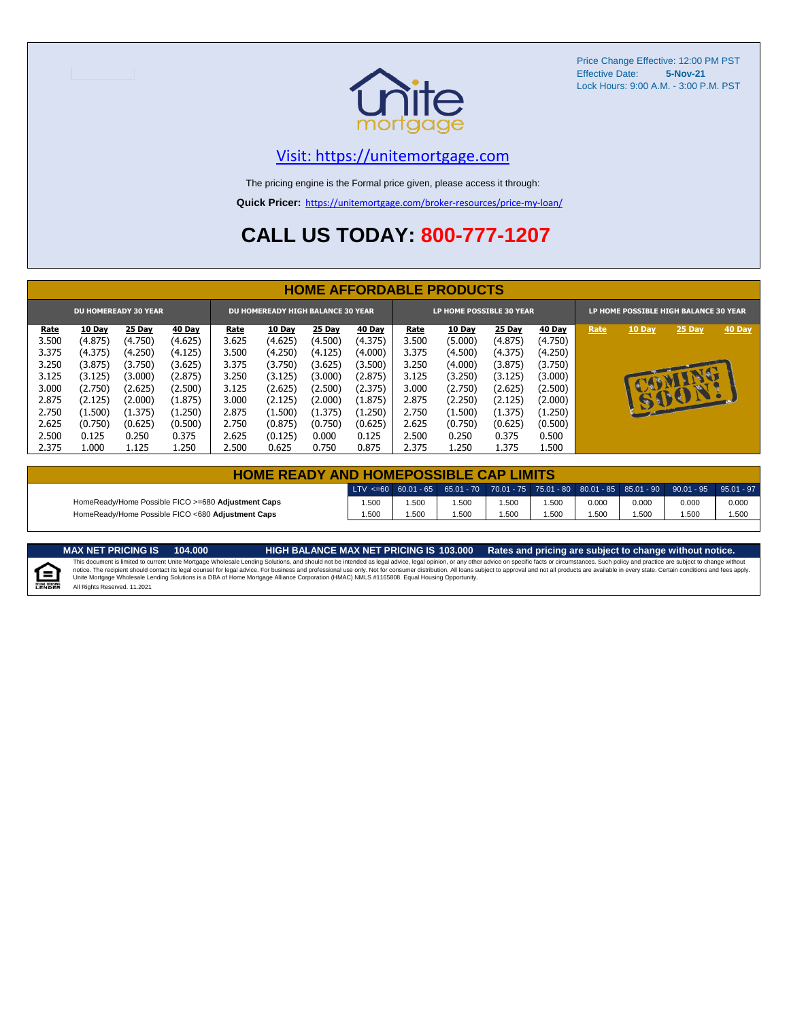

#### [V](https://unitemortgage.com/)isit: https://unitemortgage.com

The pricing engine is the Formal price given, please access it through:

**Quick Pricer:** [https://un](https://unitemortgage.com/broker-resources/price-my-loan/)itemortgage.com/broker-resources/price-my-loan/

## **CALL US TODAY: 800-777-1207**

|             | <b>HOME AFFORDABLE PRODUCTS</b> |               |               |       |                                          |               |               |                          |               |               |               |                                       |        |             |               |
|-------------|---------------------------------|---------------|---------------|-------|------------------------------------------|---------------|---------------|--------------------------|---------------|---------------|---------------|---------------------------------------|--------|-------------|---------------|
|             | <b>DU HOMEREADY 30 YEAR</b>     |               |               |       | <b>DU HOMEREADY HIGH BALANCE 30 YEAR</b> |               |               | LP HOME POSSIBLE 30 YEAR |               |               |               | LP HOME POSSIBLE HIGH BALANCE 30 YEAR |        |             |               |
| <u>Rate</u> | <b>10 Day</b>                   | <b>25 Day</b> | <b>40 Day</b> | Rate  | <b>10 Day</b>                            | <b>25 Day</b> | <b>40 Day</b> | Rate                     | <b>10 Day</b> | <b>25 Day</b> | <b>40 Day</b> | Rate                                  | 10 Day | 25 Day      | <b>40 Day</b> |
| 3.500       | (4.875)                         | (4.750)       | (4.625)       | 3.625 | (4.625)                                  | (4.500)       | (4.375)       | 3.500                    | (5.000)       | (4.875)       | (4.750)       |                                       |        |             |               |
| 3.375       | (4.375)                         | (4.250)       | (4.125)       | 3.500 | (4.250)                                  | (4.125)       | (4.000)       | 3.375                    | (4.500)       | (4.375)       | (4.250)       |                                       |        |             |               |
| 3.250       | (3.875)                         | (3.750)       | (3.625)       | 3.375 | (3.750)                                  | (3.625)       | (3.500)       | 3.250                    | (4.000)       | (3.875)       | (3.750)       |                                       |        |             |               |
| 3.125       | (3.125)                         | (3.000)       | (2.875)       | 3.250 | (3.125)                                  | (3.000)       | (2.875)       | 3.125                    | (3.250)       | (3.125)       | (3.000)       |                                       |        | <b>TANK</b> |               |
| 3.000       | (2.750)                         | (2.625)       | (2.500)       | 3.125 | (2.625)                                  | (2.500)       | (2.375)       | 3.000                    | (2.750)       | (2.625)       | (2.500)       |                                       |        | w           |               |
| 2.875       | (2.125)                         | (2.000)       | (1.875)       | 3.000 | (2.125)                                  | (2.000)       | (1.875)       | 2.875                    | (2.250)       | (2.125)       | (2.000)       |                                       | B      | SOON        |               |
| 2.750       | (1.500)                         | (1.375)       | (1.250)       | 2.875 | (1.500)                                  | (1.375)       | (1.250)       | 2.750                    | (1.500)       | (1.375)       | (1.250)       |                                       |        |             |               |
| 2.625       | (0.750)                         | (0.625)       | (0.500)       | 2.750 | (0.875)                                  | (0.750)       | (0.625)       | 2.625                    | (0.750)       | (0.625)       | (0.500)       |                                       |        |             |               |
| 2.500       | 0.125                           | 0.250         | 0.375         | 2.625 | (0.125)                                  | 0.000         | 0.125         | 2.500                    | 0.250         | 0.375         | 0.500         |                                       |        |             |               |
| 2.375       | 1.000                           | 1.125         | 1.250         | 2.500 | 0.625                                    | 0.750         | 0.875         | 2.375                    | 1.250         | 1.375         | L.500         |                                       |        |             |               |

|                                                    | <b>HOME READY AND HOMEPOSSIBLE CAP LIMITS</b> |      |      |      |       |       |       |                                                                                                  |       |  |  |  |  |
|----------------------------------------------------|-----------------------------------------------|------|------|------|-------|-------|-------|--------------------------------------------------------------------------------------------------|-------|--|--|--|--|
|                                                    |                                               |      |      |      |       |       |       | LTV <=60 60.01 - 65 65.01 - 70 70.01 - 75 75.01 - 80 80.01 - 85 85.01 - 90 90.01 - 95 95.01 - 97 |       |  |  |  |  |
| HomeReady/Home Possible FICO >=680 Adjustment Caps | .500                                          | .500 | .500 | .500 | 1.500 | 0.000 | 0.000 | 0.000                                                                                            | 0.000 |  |  |  |  |
| HomeReady/Home Possible FICO <680 Adiustment Caps  | .500                                          | .500 | .500 | .500 | 1.500 | .500  | .500  | .500                                                                                             | 1.500 |  |  |  |  |

E

MAX NET PRICING IS 103.000 Rates and pricing are subject to change without notice.<br>This document is limited to current Unite Mortgage Wholesale Lending Solutions, and should not be intended as legal advice, legal opinion, All Rights Reserved. 11.2021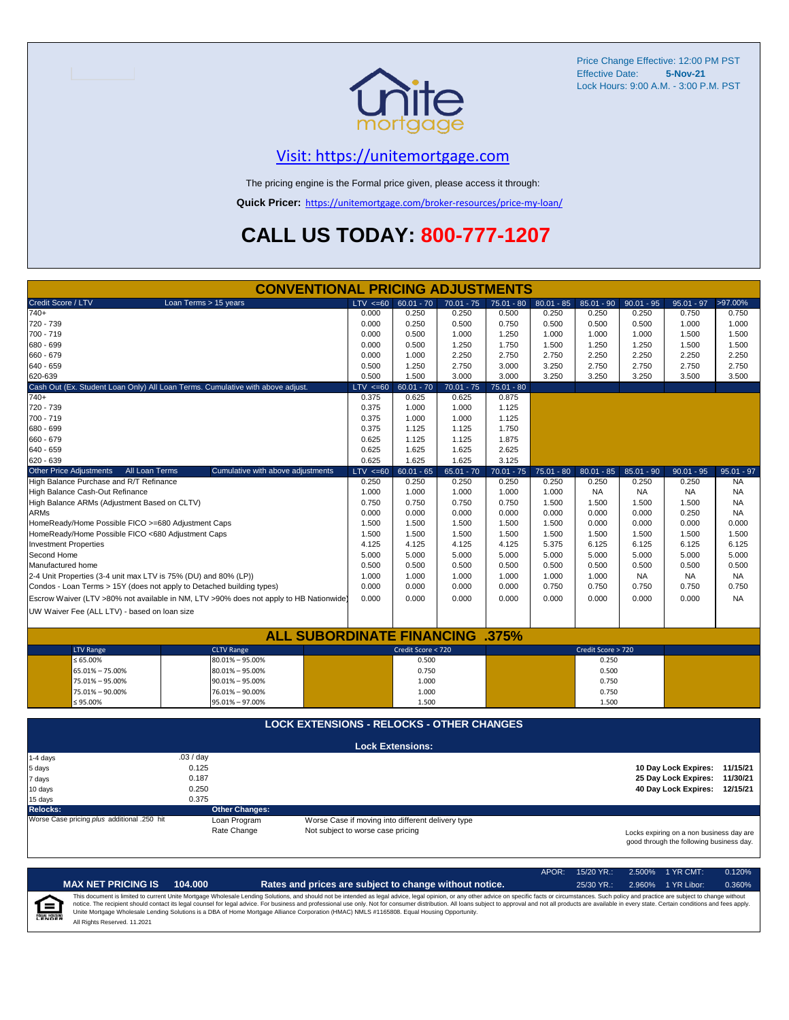

#### [V](https://unitemortgage.com/)isit: https://unitemortgage.com

The pricing engine is the Formal price given, please access it through:

**Quick Pricer:** [https://un](https://unitemortgage.com/broker-resources/price-my-loan/)itemortgage.com/broker-resources/price-my-loan/

## **CALL US TODAY: 800-777-1207**

|                                                                       | <b>CONVENTIONAL PRICING ADJUSTMENTS</b>                                                |                                   |                                                   |              |              |              |                    |              |                                          |              |
|-----------------------------------------------------------------------|----------------------------------------------------------------------------------------|-----------------------------------|---------------------------------------------------|--------------|--------------|--------------|--------------------|--------------|------------------------------------------|--------------|
| Credit Score / LTV                                                    | Loan Terms > 15 years                                                                  | $LTV \le 60$                      | $60.01 - 70$                                      | $70.01 - 75$ | $75.01 - 80$ | $80.01 - 85$ | $85.01 - 90$       | $90.01 - 95$ | $95.01 - 97$                             | >97.00%      |
| $740+$                                                                |                                                                                        | 0.000                             | 0.250                                             | 0.250        | 0.500        | 0.250        | 0.250              | 0.250        | 0.750                                    | 0.750        |
| 720 - 739                                                             |                                                                                        | 0.000                             | 0.250                                             | 0.500        | 0.750        | 0.500        | 0.500              | 0.500        | 1.000                                    | 1.000        |
| 700 - 719                                                             |                                                                                        | 0.000                             | 0.500                                             | 1.000        | 1.250        | 1.000        | 1.000              | 1.000        | 1.500                                    | 1.500        |
| 680 - 699                                                             |                                                                                        | 0.000                             | 0.500                                             | 1.250        | 1.750        | 1.500        | 1.250              | 1.250        | 1.500                                    | 1.500        |
| 660 - 679                                                             |                                                                                        | 0.000                             | 1.000                                             | 2.250        | 2.750        | 2.750        | 2.250              | 2.250        | 2.250                                    | 2.250        |
| 640 - 659                                                             |                                                                                        | 0.500                             | 1.250                                             | 2.750        | 3.000        | 3.250        | 2.750              | 2.750        | 2.750                                    | 2.750        |
| 620-639                                                               |                                                                                        | 0.500                             | 1.500                                             | 3.000        | 3.000        | 3.250        | 3.250              | 3.250        | 3.500                                    | 3.500        |
|                                                                       | Cash Out (Ex. Student Loan Only) All Loan Terms. Cumulative with above adjust.         | $LTV \le 60$                      | $60.01 - 70$                                      | $70.01 - 75$ | $75.01 - 80$ |              |                    |              |                                          |              |
| 740+                                                                  |                                                                                        | 0.375                             | 0.625                                             | 0.625        | 0.875        |              |                    |              |                                          |              |
| 720 - 739                                                             |                                                                                        | 0.375                             | 1.000                                             | 1.000        | 1.125        |              |                    |              |                                          |              |
| 700 - 719                                                             |                                                                                        | 0.375                             | 1.000                                             | 1.000        | 1.125        |              |                    |              |                                          |              |
| 680 - 699                                                             |                                                                                        | 0.375                             | 1.125                                             | 1.125        | 1.750        |              |                    |              |                                          |              |
| 660 - 679                                                             |                                                                                        | 0.625                             | 1.125                                             | 1.125        | 1.875        |              |                    |              |                                          |              |
| 640 - 659                                                             |                                                                                        | 0.625                             | 1.625                                             | 1.625        | 2.625        |              |                    |              |                                          |              |
| 620 - 639                                                             |                                                                                        | 0.625                             | 1.625                                             | 1.625        | 3.125        |              |                    |              |                                          |              |
| Other Price Adjustments<br>All Loan Terms                             | Cumulative with above adjustments                                                      | $LTV \le 60$                      | $60.01 - 65$                                      | $65.01 - 70$ | $70.01 - 75$ | $75.01 - 80$ | $80.01 - 85$       | $85.01 - 90$ | $90.01 - 95$                             | $95.01 - 97$ |
| High Balance Purchase and R/T Refinance                               |                                                                                        | 0.250                             | 0.250                                             | 0.250        | 0.250        | 0.250        | 0.250              | 0.250        | 0.250                                    | <b>NA</b>    |
| High Balance Cash-Out Refinance                                       |                                                                                        | 1.000                             | 1.000                                             | 1.000        | 1.000        | 1.000        | <b>NA</b>          | <b>NA</b>    | <b>NA</b>                                | <b>NA</b>    |
| High Balance ARMs (Adjustment Based on CLTV)                          |                                                                                        | 0.750                             | 0.750                                             | 0.750        | 0.750        | 1.500        | 1.500              | 1.500        | 1.500                                    | <b>NA</b>    |
| <b>ARMs</b>                                                           |                                                                                        | 0.000                             | 0.000                                             | 0.000        | 0.000        | 0.000        | 0.000              | 0.000        | 0.250                                    | <b>NA</b>    |
| HomeReady/Home Possible FICO >=680 Adjustment Caps                    |                                                                                        | 1.500                             | 1.500                                             | 1.500        | 1.500        | 1.500        | 0.000              | 0.000        | 0.000                                    | 0.000        |
| HomeReady/Home Possible FICO <680 Adjustment Caps                     |                                                                                        | 1.500                             | 1.500                                             | 1.500        | 1.500        | 1.500        | 1.500              | 1.500        | 1.500                                    | 1.500        |
| <b>Investment Properties</b>                                          |                                                                                        | 4.125                             | 4.125                                             | 4.125        | 4.125        | 5.375        | 6.125              | 6.125        | 6.125                                    | 6.125        |
| Second Home                                                           |                                                                                        | 5.000                             | 5.000                                             | 5.000        | 5.000        | 5.000        | 5.000              | 5.000        | 5.000                                    | 5.000        |
| Manufactured home                                                     |                                                                                        | 0.500                             | 0.500                                             | 0.500        | 0.500        | 0.500        | 0.500              | 0.500        | 0.500                                    | 0.500        |
| 2-4 Unit Properties (3-4 unit max LTV is 75% (DU) and 80% (LP))       |                                                                                        | 1.000                             | 1.000                                             | 1.000        | 1.000        | 1.000        | 1.000              | <b>NA</b>    | <b>NA</b>                                | <b>NA</b>    |
| Condos - Loan Terms > 15Y (does not apply to Detached building types) |                                                                                        | 0.000                             | 0.000                                             | 0.000        | 0.000        | 0.750        | 0.750              | 0.750        | 0.750                                    | 0.750        |
|                                                                       | Escrow Waiver (LTV >80% not available in NM, LTV >90% does not apply to HB Nationwide) | 0.000                             | 0.000                                             | 0.000        | 0.000        | 0.000        | 0.000              | 0.000        | 0.000                                    | <b>NA</b>    |
| UW Waiver Fee (ALL LTV) - based on loan size                          |                                                                                        |                                   |                                                   |              |              |              |                    |              |                                          |              |
|                                                                       |                                                                                        |                                   |                                                   |              |              |              |                    |              |                                          |              |
|                                                                       | <b>ALL SUBORDINATE FINANCING .375%</b>                                                 |                                   |                                                   |              |              |              |                    |              |                                          |              |
| <b>LTV Range</b>                                                      | <b>CLTV Range</b>                                                                      |                                   | Credit Score < 720                                |              |              |              | Credit Score > 720 |              |                                          |              |
| $\leq 65.00\%$                                                        | $80.01\% - 95.00\%$                                                                    |                                   | 0.500                                             |              |              |              | 0.250              |              |                                          |              |
| 65.01% - 75.00%                                                       | $80.01\% - 95.00\%$                                                                    |                                   | 0.750                                             |              |              |              | 0.500              |              |                                          |              |
| 75.01% - 95.00%                                                       | $90.01\% - 95.00\%$                                                                    |                                   | 1.000                                             |              |              |              | 0.750              |              |                                          |              |
| 75.01% - 90.00%                                                       | 76.01% - 90.00%                                                                        |                                   | 1.000                                             |              |              |              | 0.750              |              |                                          |              |
| ≤ 95.00%                                                              | 95.01% - 97.00%                                                                        |                                   | 1.500                                             |              |              |              | 1.500              |              |                                          |              |
|                                                                       | <b>LOCK EXTENSIONS - RELOCKS - OTHER CHANGES</b>                                       |                                   |                                                   |              |              |              |                    |              |                                          |              |
|                                                                       |                                                                                        |                                   |                                                   |              |              |              |                    |              |                                          |              |
|                                                                       | .03/day                                                                                |                                   | <b>Lock Extensions:</b>                           |              |              |              |                    |              |                                          |              |
| 1-4 days<br>5 days                                                    | 0.125                                                                                  |                                   |                                                   |              |              |              |                    |              | 10 Day Lock Expires: 11/15/21            |              |
|                                                                       | 0.187                                                                                  |                                   |                                                   |              |              |              |                    |              | 25 Day Lock Expires: 11/30/21            |              |
| 7 days<br>10 days                                                     | 0.250                                                                                  |                                   |                                                   |              |              |              |                    |              | 40 Day Lock Expires: 12/15/21            |              |
| 15 days                                                               | 0.375                                                                                  |                                   |                                                   |              |              |              |                    |              |                                          |              |
| <b>Relocks:</b>                                                       | <b>Other Changes:</b>                                                                  |                                   |                                                   |              |              |              |                    |              |                                          |              |
| Worse Case pricing plus additional .250 hit                           | Loan Program                                                                           |                                   | Worse Case if moving into different delivery type |              |              |              |                    |              |                                          |              |
|                                                                       | Rate Change                                                                            | Not subject to worse case pricing |                                                   |              |              |              |                    |              | Locks expiring on a non business day are |              |
|                                                                       |                                                                                        |                                   |                                                   |              |              |              |                    |              | good through the following business day. |              |

APOR: 15/20 YR.: 2.500% 1 YR CMT: 0.120% **MAX NET PRICING IS 104.000 Rates and prices are subject to change without notice.** 25/30 YR.: 2.960% 1 YR Libor: 0.360% This document is limited to current Unite Mortgage Wholesale Lending Solutions, and should not be intended as legal advice, legal opinion, or any other advice on specific facts or circumstances. Such policy and practice ar  $\equiv$ **EQUAL HOUSING** All Rights Reserved. 11.2021